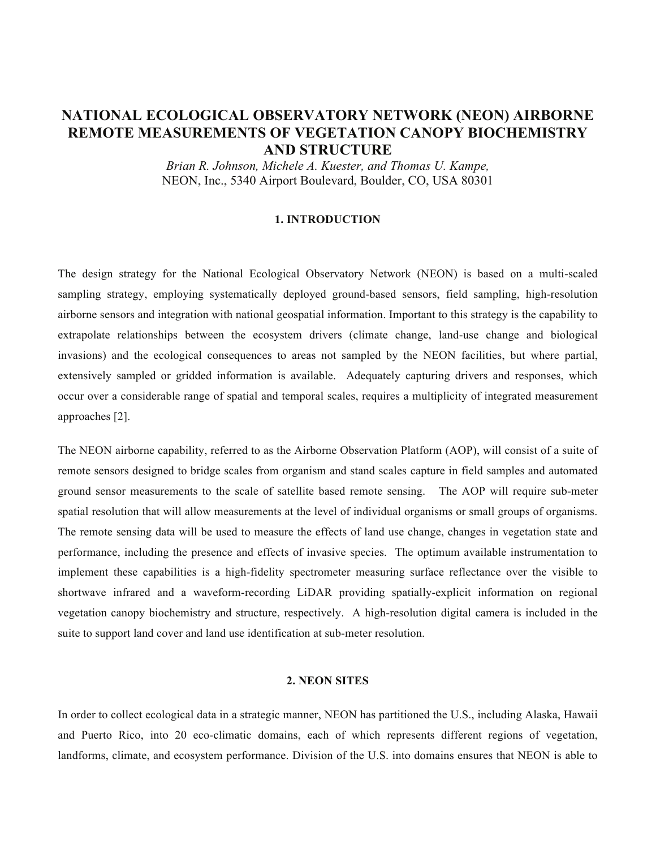# **NATIONAL ECOLOGICAL OBSERVATORY NETWORK (NEON) AIRBORNE REMOTE MEASUREMENTS OF VEGETATION CANOPY BIOCHEMISTRY AND STRUCTURE**

*Brian R. Johnson, Michele A. Kuester, and Thomas U. Kampe,*  NEON, Inc., 5340 Airport Boulevard, Boulder, CO, USA 80301

#### **1. INTRODUCTION**

The design strategy for the National Ecological Observatory Network (NEON) is based on a multi-scaled sampling strategy, employing systematically deployed ground-based sensors, field sampling, high-resolution airborne sensors and integration with national geospatial information. Important to this strategy is the capability to extrapolate relationships between the ecosystem drivers (climate change, land-use change and biological invasions) and the ecological consequences to areas not sampled by the NEON facilities, but where partial, extensively sampled or gridded information is available. Adequately capturing drivers and responses, which occur over a considerable range of spatial and temporal scales, requires a multiplicity of integrated measurement approaches [2].

The NEON airborne capability, referred to as the Airborne Observation Platform (AOP), will consist of a suite of remote sensors designed to bridge scales from organism and stand scales capture in field samples and automated ground sensor measurements to the scale of satellite based remote sensing. The AOP will require sub-meter spatial resolution that will allow measurements at the level of individual organisms or small groups of organisms. The remote sensing data will be used to measure the effects of land use change, changes in vegetation state and performance, including the presence and effects of invasive species. The optimum available instrumentation to implement these capabilities is a high-fidelity spectrometer measuring surface reflectance over the visible to shortwave infrared and a waveform-recording LiDAR providing spatially-explicit information on regional vegetation canopy biochemistry and structure, respectively. A high-resolution digital camera is included in the suite to support land cover and land use identification at sub-meter resolution.

### **2. NEON SITES**

In order to collect ecological data in a strategic manner, NEON has partitioned the U.S., including Alaska, Hawaii and Puerto Rico, into 20 eco-climatic domains, each of which represents different regions of vegetation, landforms, climate, and ecosystem performance. Division of the U.S. into domains ensures that NEON is able to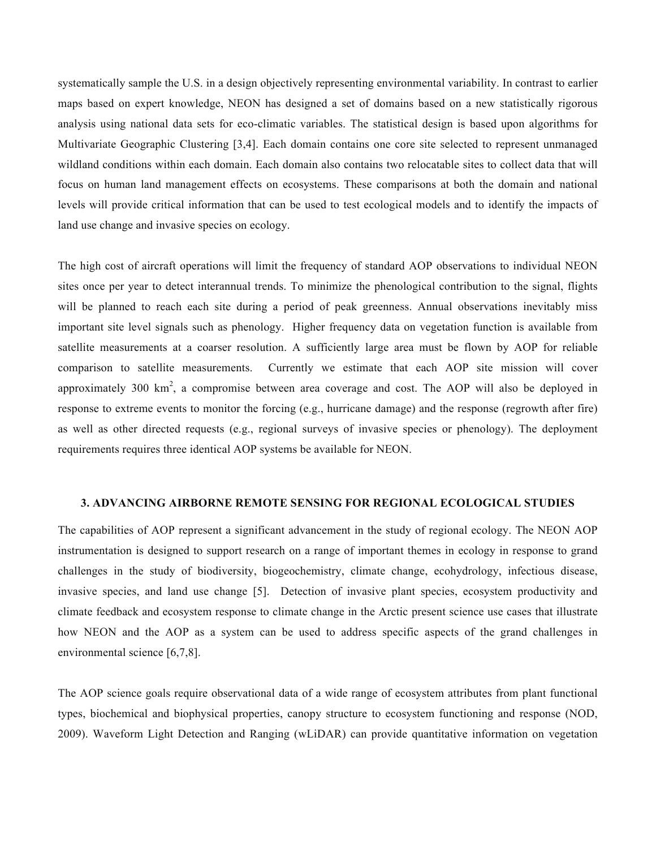systematically sample the U.S. in a design objectively representing environmental variability. In contrast to earlier maps based on expert knowledge, NEON has designed a set of domains based on a new statistically rigorous analysis using national data sets for eco-climatic variables. The statistical design is based upon algorithms for Multivariate Geographic Clustering [3,4]. Each domain contains one core site selected to represent unmanaged wildland conditions within each domain. Each domain also contains two relocatable sites to collect data that will focus on human land management effects on ecosystems. These comparisons at both the domain and national levels will provide critical information that can be used to test ecological models and to identify the impacts of land use change and invasive species on ecology.

The high cost of aircraft operations will limit the frequency of standard AOP observations to individual NEON sites once per year to detect interannual trends. To minimize the phenological contribution to the signal, flights will be planned to reach each site during a period of peak greenness. Annual observations inevitably miss important site level signals such as phenology. Higher frequency data on vegetation function is available from satellite measurements at a coarser resolution. A sufficiently large area must be flown by AOP for reliable comparison to satellite measurements. Currently we estimate that each AOP site mission will cover approximately 300  $km^2$ , a compromise between area coverage and cost. The AOP will also be deployed in response to extreme events to monitor the forcing (e.g., hurricane damage) and the response (regrowth after fire) as well as other directed requests (e.g., regional surveys of invasive species or phenology). The deployment requirements requires three identical AOP systems be available for NEON.

#### **3. ADVANCING AIRBORNE REMOTE SENSING FOR REGIONAL ECOLOGICAL STUDIES**

The capabilities of AOP represent a significant advancement in the study of regional ecology. The NEON AOP instrumentation is designed to support research on a range of important themes in ecology in response to grand challenges in the study of biodiversity, biogeochemistry, climate change, ecohydrology, infectious disease, invasive species, and land use change [5]. Detection of invasive plant species, ecosystem productivity and climate feedback and ecosystem response to climate change in the Arctic present science use cases that illustrate how NEON and the AOP as a system can be used to address specific aspects of the grand challenges in environmental science [6,7,8].

The AOP science goals require observational data of a wide range of ecosystem attributes from plant functional types, biochemical and biophysical properties, canopy structure to ecosystem functioning and response (NOD, 2009). Waveform Light Detection and Ranging (wLiDAR) can provide quantitative information on vegetation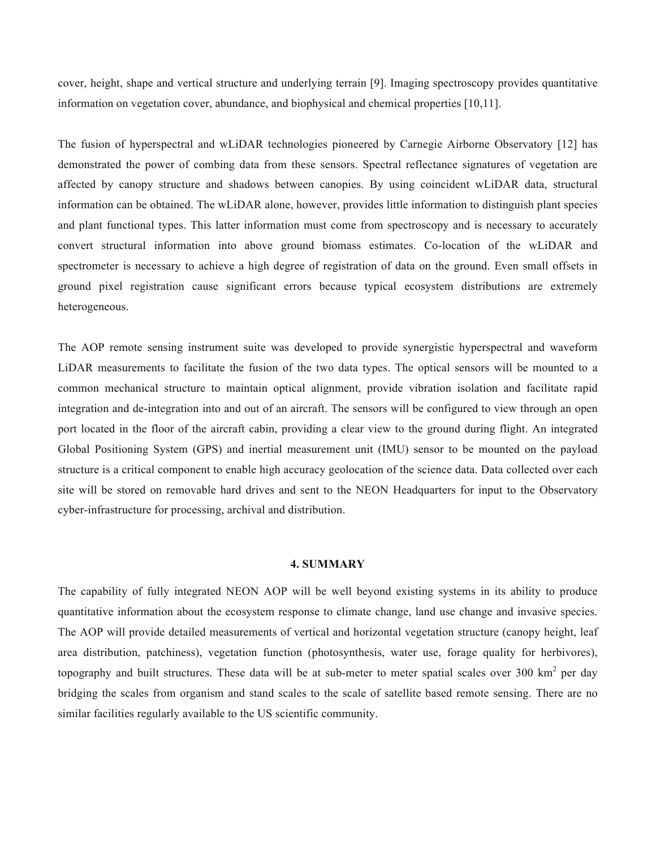cover, height, shape and vertical structure and underlying terrain [9]. Imaging spectroscopy provides quantitative information on vegetation cover, abundance, and biophysical and chemical properties [10,11].

The fusion of hyperspectral and wLiDAR technologies pioneered by Carnegie Airborne Observatory [12] has demonstrated the power of combing data from these sensors. Spectral reflectance signatures of vegetation are affected by canopy structure and shadows between canopies. By using coincident wLiDAR data, structural information can be obtained. The wLiDAR alone, however, provides little information to distinguish plant species and plant functional types. This latter information must come from spectroscopy and is necessary to accurately convert structural information into above ground biomass estimates. Co-location of the wLiDAR and spectrometer is necessary to achieve a high degree of registration of data on the ground. Even small offsets in ground pixel registration cause significant errors because typical ecosystem distributions are extremely heterogeneous.

The AOP remote sensing instrument suite was developed to provide synergistic hyperspectral and waveform LiDAR measurements to facilitate the fusion of the two data types. The optical sensors will be mounted to a common mechanical structure to maintain optical alignment, provide vibration isolation and facilitate rapid integration and de-integration into and out of an aircraft. The sensors will be configured to view through an open port located in the floor of the aircraft cabin, providing a clear view to the ground during flight. An integrated Global Positioning System (GPS) and inertial measurement unit (IMU) sensor to be mounted on the payload structure is a critical component to enable high accuracy geolocation of the science data. Data collected over each site will be stored on removable hard drives and sent to the NEON Headquarters for input to the Observatory cyber-infrastructure for processing, archival and distribution.

#### **4. SUMMARY**

The capability of fully integrated NEON AOP will be well beyond existing systems in its ability to produce quantitative information about the ecosystem response to climate change, land use change and invasive species. The AOP will provide detailed measurements of vertical and horizontal vegetation structure (canopy height, leaf area distribution, patchiness), vegetation function (photosynthesis, water use, forage quality for herbivores), topography and built structures. These data will be at sub-meter to meter spatial scales over 300  $km^2$  per day bridging the scales from organism and stand scales to the scale of satellite based remote sensing. There are no similar facilities regularly available to the US scientific community.